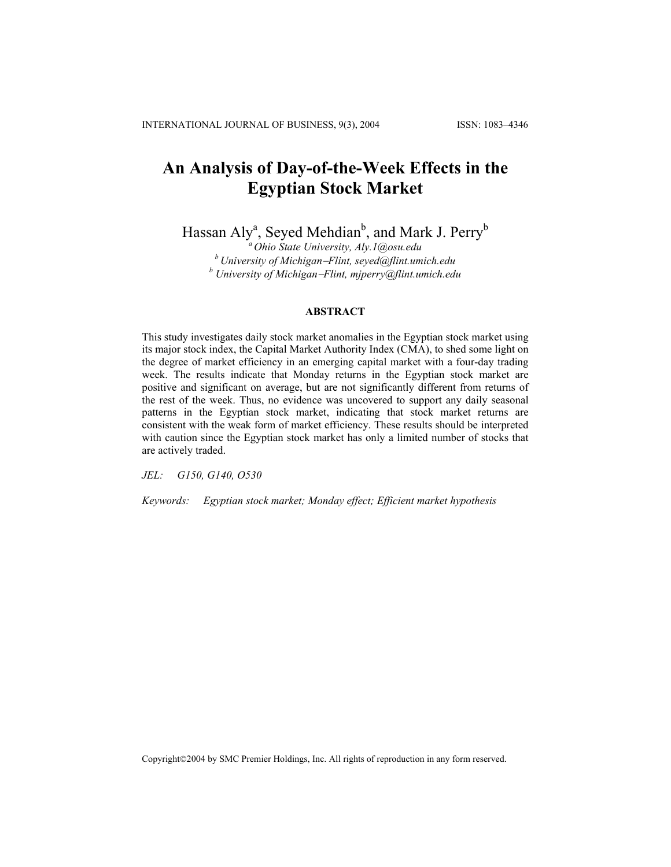# **An Analysis of Day-of-the-Week Effects in the Egyptian Stock Market**

Hassan Aly<sup>a</sup>, Seyed Mehdian<sup>b</sup>, and Mark J. Perry<sup>b</sup>

*a Ohio State University, Aly.1@osu.edu b University of Michigan*−*Flint, seyed@flint.umich.edu b University of Michigan*−*Flint, mjperry@flint.umich.edu*

### **ABSTRACT**

This study investigates daily stock market anomalies in the Egyptian stock market using its major stock index, the Capital Market Authority Index (CMA), to shed some light on the degree of market efficiency in an emerging capital market with a four-day trading week. The results indicate that Monday returns in the Egyptian stock market are positive and significant on average, but are not significantly different from returns of the rest of the week. Thus, no evidence was uncovered to support any daily seasonal patterns in the Egyptian stock market, indicating that stock market returns are consistent with the weak form of market efficiency. These results should be interpreted with caution since the Egyptian stock market has only a limited number of stocks that are actively traded.

*JEL: G150, G140, O530*

*Keywords: Egyptian stock market; Monday effect; Efficient market hypothesis* 

Copyright©2004 by SMC Premier Holdings, Inc. All rights of reproduction in any form reserved.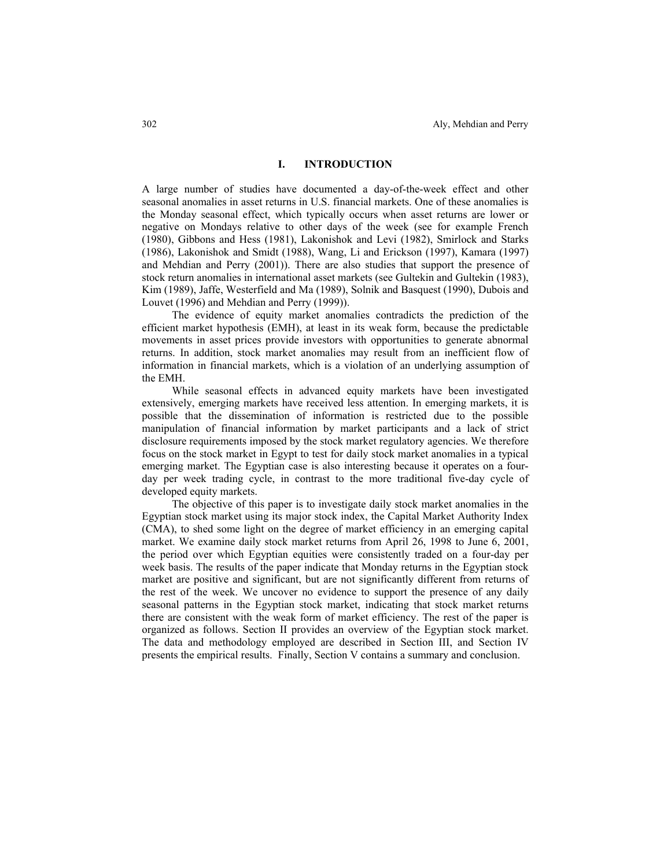# **I. INTRODUCTION**

A large number of studies have documented a day-of-the-week effect and other seasonal anomalies in asset returns in U.S. financial markets. One of these anomalies is the Monday seasonal effect, which typically occurs when asset returns are lower or negative on Mondays relative to other days of the week (see for example French (1980), Gibbons and Hess (1981), Lakonishok and Levi (1982), Smirlock and Starks (1986), Lakonishok and Smidt (1988), Wang, Li and Erickson (1997), Kamara (1997) and Mehdian and Perry (2001)). There are also studies that support the presence of stock return anomalies in international asset markets (see Gultekin and Gultekin (1983), Kim (1989), Jaffe, Westerfield and Ma (1989), Solnik and Basquest (1990), Dubois and Louvet (1996) and Mehdian and Perry (1999)).

The evidence of equity market anomalies contradicts the prediction of the efficient market hypothesis (EMH), at least in its weak form, because the predictable movements in asset prices provide investors with opportunities to generate abnormal returns. In addition, stock market anomalies may result from an inefficient flow of information in financial markets, which is a violation of an underlying assumption of the EMH.

While seasonal effects in advanced equity markets have been investigated extensively, emerging markets have received less attention. In emerging markets, it is possible that the dissemination of information is restricted due to the possible manipulation of financial information by market participants and a lack of strict disclosure requirements imposed by the stock market regulatory agencies. We therefore focus on the stock market in Egypt to test for daily stock market anomalies in a typical emerging market. The Egyptian case is also interesting because it operates on a fourday per week trading cycle, in contrast to the more traditional five-day cycle of developed equity markets.

The objective of this paper is to investigate daily stock market anomalies in the Egyptian stock market using its major stock index, the Capital Market Authority Index (CMA), to shed some light on the degree of market efficiency in an emerging capital market. We examine daily stock market returns from April 26, 1998 to June 6, 2001, the period over which Egyptian equities were consistently traded on a four-day per week basis. The results of the paper indicate that Monday returns in the Egyptian stock market are positive and significant, but are not significantly different from returns of the rest of the week. We uncover no evidence to support the presence of any daily seasonal patterns in the Egyptian stock market, indicating that stock market returns there are consistent with the weak form of market efficiency. The rest of the paper is organized as follows. Section II provides an overview of the Egyptian stock market. The data and methodology employed are described in Section III, and Section IV presents the empirical results. Finally, Section V contains a summary and conclusion.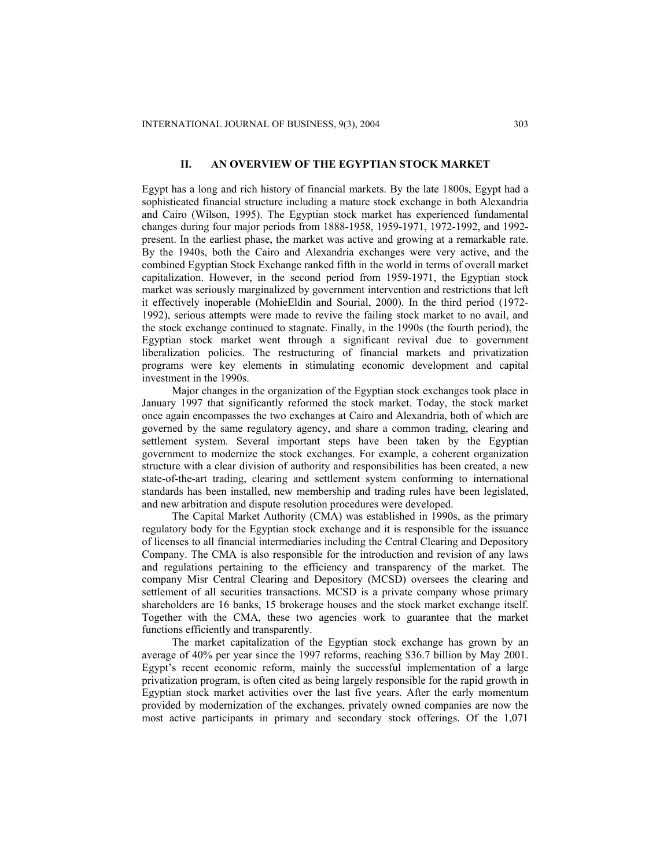# **II. AN OVERVIEW OF THE EGYPTIAN STOCK MARKET**

Egypt has a long and rich history of financial markets. By the late 1800s, Egypt had a sophisticated financial structure including a mature stock exchange in both Alexandria and Cairo (Wilson, 1995). The Egyptian stock market has experienced fundamental changes during four major periods from 1888-1958, 1959-1971, 1972-1992, and 1992 present. In the earliest phase, the market was active and growing at a remarkable rate. By the 1940s, both the Cairo and Alexandria exchanges were very active, and the combined Egyptian Stock Exchange ranked fifth in the world in terms of overall market capitalization. However, in the second period from 1959-1971, the Egyptian stock market was seriously marginalized by government intervention and restrictions that left it effectively inoperable (MohieEldin and Sourial, 2000). In the third period (1972- 1992), serious attempts were made to revive the failing stock market to no avail, and the stock exchange continued to stagnate. Finally, in the 1990s (the fourth period), the Egyptian stock market went through a significant revival due to government liberalization policies. The restructuring of financial markets and privatization programs were key elements in stimulating economic development and capital investment in the 1990s.

Major changes in the organization of the Egyptian stock exchanges took place in January 1997 that significantly reformed the stock market. Today, the stock market once again encompasses the two exchanges at Cairo and Alexandria, both of which are governed by the same regulatory agency, and share a common trading, clearing and settlement system. Several important steps have been taken by the Egyptian government to modernize the stock exchanges. For example, a coherent organization structure with a clear division of authority and responsibilities has been created, a new state-of-the-art trading, clearing and settlement system conforming to international standards has been installed, new membership and trading rules have been legislated, and new arbitration and dispute resolution procedures were developed.

The Capital Market Authority (CMA) was established in 1990s, as the primary regulatory body for the Egyptian stock exchange and it is responsible for the issuance of licenses to all financial intermediaries including the Central Clearing and Depository Company. The CMA is also responsible for the introduction and revision of any laws and regulations pertaining to the efficiency and transparency of the market. The company Misr Central Clearing and Depository (MCSD) oversees the clearing and settlement of all securities transactions. MCSD is a private company whose primary shareholders are 16 banks, 15 brokerage houses and the stock market exchange itself. Together with the CMA, these two agencies work to guarantee that the market functions efficiently and transparently.

The market capitalization of the Egyptian stock exchange has grown by an average of 40% per year since the 1997 reforms, reaching \$36.7 billion by May 2001. Egypt's recent economic reform, mainly the successful implementation of a large privatization program, is often cited as being largely responsible for the rapid growth in Egyptian stock market activities over the last five years. After the early momentum provided by modernization of the exchanges, privately owned companies are now the most active participants in primary and secondary stock offerings. Of the 1,071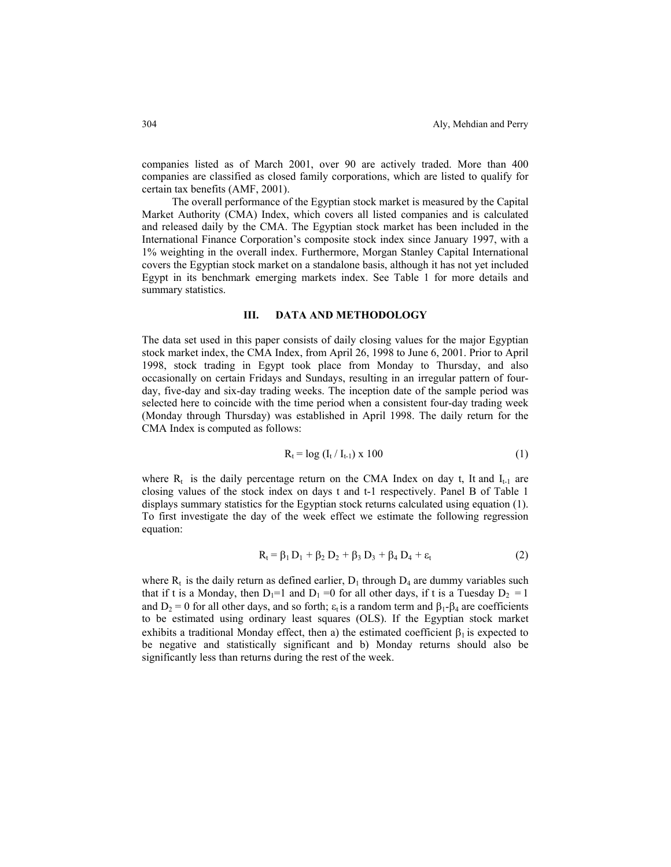companies listed as of March 2001, over 90 are actively traded. More than 400 companies are classified as closed family corporations, which are listed to qualify for certain tax benefits (AMF, 2001).

The overall performance of the Egyptian stock market is measured by the Capital Market Authority (CMA) Index, which covers all listed companies and is calculated and released daily by the CMA. The Egyptian stock market has been included in the International Finance Corporation's composite stock index since January 1997, with a 1% weighting in the overall index. Furthermore, Morgan Stanley Capital International covers the Egyptian stock market on a standalone basis, although it has not yet included Egypt in its benchmark emerging markets index. See Table 1 for more details and summary statistics.

#### **III. DATA AND METHODOLOGY**

The data set used in this paper consists of daily closing values for the major Egyptian stock market index, the CMA Index, from April 26, 1998 to June 6, 2001. Prior to April 1998, stock trading in Egypt took place from Monday to Thursday, and also occasionally on certain Fridays and Sundays, resulting in an irregular pattern of fourday, five-day and six-day trading weeks. The inception date of the sample period was selected here to coincide with the time period when a consistent four-day trading week (Monday through Thursday) was established in April 1998. The daily return for the CMA Index is computed as follows:

$$
R_t = \log (I_t / I_{t-1}) \times 100
$$
 (1)

where  $R_t$  is the daily percentage return on the CMA Index on day t, It and  $I_{t-1}$  are closing values of the stock index on days t and t-1 respectively. Panel B of Table 1 displays summary statistics for the Egyptian stock returns calculated using equation (1). To first investigate the day of the week effect we estimate the following regression equation:

$$
R_{t} = \beta_{1} D_{1} + \beta_{2} D_{2} + \beta_{3} D_{3} + \beta_{4} D_{4} + \varepsilon_{t}
$$
 (2)

where  $R_t$  is the daily return as defined earlier,  $D_1$  through  $D_4$  are dummy variables such that if t is a Monday, then  $D_1=1$  and  $D_1=0$  for all other days, if t is a Tuesday  $D_2=1$ and  $D_2 = 0$  for all other days, and so forth;  $\varepsilon_t$  is a random term and  $\beta_1 - \beta_4$  are coefficients to be estimated using ordinary least squares (OLS). If the Egyptian stock market exhibits a traditional Monday effect, then a) the estimated coefficient  $\beta_1$  is expected to be negative and statistically significant and b) Monday returns should also be significantly less than returns during the rest of the week.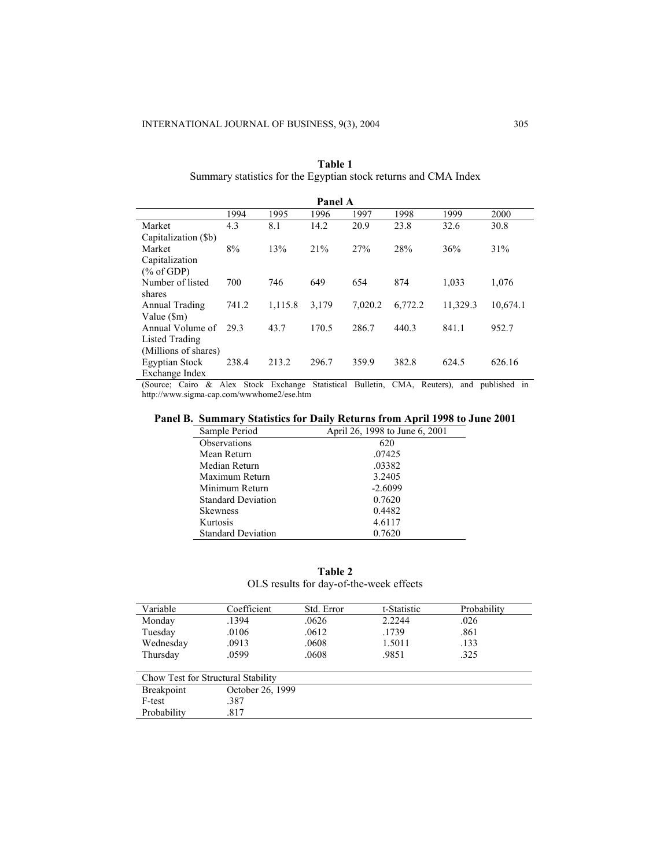| Panel A               |       |         |       |         |         |          |          |
|-----------------------|-------|---------|-------|---------|---------|----------|----------|
|                       | 1994  | 1995    | 1996  | 1997    | 1998    | 1999     | 2000     |
| Market                | 4.3   | 8.1     | 14.2  | 20.9    | 23.8    | 32.6     | 30.8     |
| Capitalization (\$b)  |       |         |       |         |         |          |          |
| Market                | 8%    | 13%     | 21%   | 27%     | 28%     | 36%      | 31%      |
| Capitalization        |       |         |       |         |         |          |          |
| $(\%$ of GDP)         |       |         |       |         |         |          |          |
| Number of listed      | 700   | 746     | 649   | 654     | 874     | 1,033    | 1,076    |
| shares                |       |         |       |         |         |          |          |
| Annual Trading        | 741.2 | 1,115.8 | 3,179 | 7.020.2 | 6,772.2 | 11,329.3 | 10,674.1 |
| Value $(\text{Sm})$   |       |         |       |         |         |          |          |
| Annual Volume of      | 293   | 43.7    | 170.5 | 286.7   | 440.3   | 841.1    | 952.7    |
| Listed Trading        |       |         |       |         |         |          |          |
| (Millions of shares)  |       |         |       |         |         |          |          |
| <b>Egyptian Stock</b> | 238.4 | 213.2   | 296.7 | 359.9   | 382.8   | 624.5    | 626.16   |
| Exchange Index        |       |         |       |         |         |          |          |

| Table 1                                                         |  |
|-----------------------------------------------------------------|--|
| Summary statistics for the Egyptian stock returns and CMA Index |  |

(Source; Cairo & Alex Stock Exchange Statistical Bulletin, CMA, Reuters), and published in http://www.sigma-cap.com/wwwhome2/ese.htm

# **Panel B. Summary Statistics for Daily Returns from April 1998 to June 2001**

| Sample Period             | April 26, 1998 to June 6, 2001 |
|---------------------------|--------------------------------|
| <b>Observations</b>       | 620                            |
| Mean Return               | .07425                         |
| Median Return             | .03382                         |
| Maximum Return            | 3.2405                         |
| Minimum Return            | $-2.6099$                      |
| <b>Standard Deviation</b> | 0.7620                         |
| <b>Skewness</b>           | 0.4482                         |
| Kurtosis                  | 4.6117                         |
| <b>Standard Deviation</b> | 0.7620                         |

**Table 2**  OLS results for day-of-the-week effects

| Variable          | Coefficient                        | Std. Error | t-Statistic | Probability |
|-------------------|------------------------------------|------------|-------------|-------------|
| Monday            | .1394                              | .0626      | 2.2244      | .026        |
| Tuesday           | .0106                              | .0612      | .1739       | .861        |
| Wednesday         | .0913                              | .0608      | 1.5011      | .133        |
| Thursday          | .0599                              | .0608      | .9851       | .325        |
|                   |                                    |            |             |             |
|                   | Chow Test for Structural Stability |            |             |             |
| <b>Breakpoint</b> | October 26, 1999                   |            |             |             |
| F-test            | .387                               |            |             |             |
| Probability       | .817                               |            |             |             |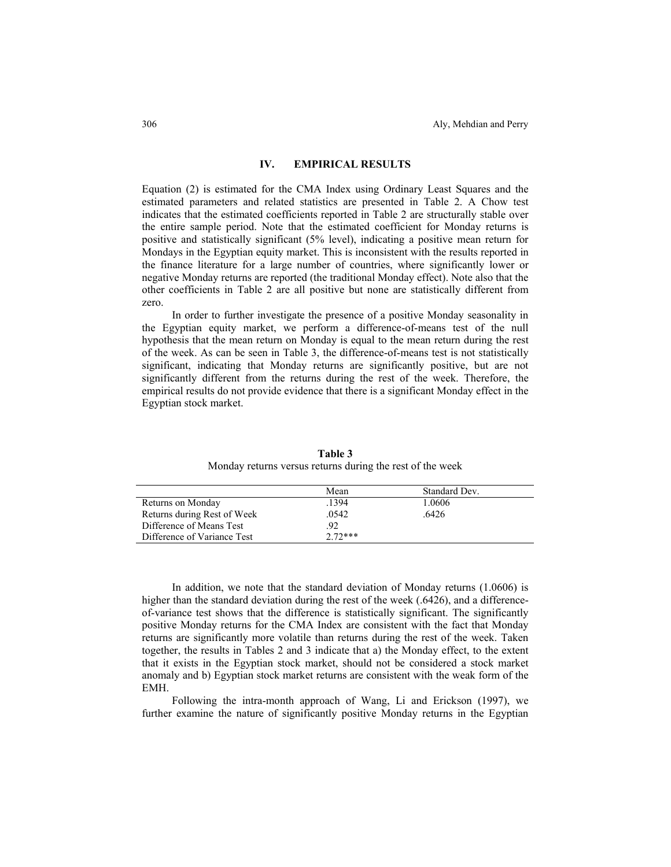# **IV. EMPIRICAL RESULTS**

Equation (2) is estimated for the CMA Index using Ordinary Least Squares and the estimated parameters and related statistics are presented in Table 2. A Chow test indicates that the estimated coefficients reported in Table 2 are structurally stable over the entire sample period. Note that the estimated coefficient for Monday returns is positive and statistically significant (5% level), indicating a positive mean return for Mondays in the Egyptian equity market. This is inconsistent with the results reported in the finance literature for a large number of countries, where significantly lower or negative Monday returns are reported (the traditional Monday effect). Note also that the other coefficients in Table 2 are all positive but none are statistically different from zero.

In order to further investigate the presence of a positive Monday seasonality in the Egyptian equity market, we perform a difference-of-means test of the null hypothesis that the mean return on Monday is equal to the mean return during the rest of the week. As can be seen in Table 3, the difference-of-means test is not statistically significant, indicating that Monday returns are significantly positive, but are not significantly different from the returns during the rest of the week. Therefore, the empirical results do not provide evidence that there is a significant Monday effect in the Egyptian stock market.

|                             | Mean      | Standard Dev. |
|-----------------------------|-----------|---------------|
| Returns on Monday           | 1394      | 1.0606        |
| Returns during Rest of Week | .0542     | .6426         |
| Difference of Means Test    | 92        |               |
| Difference of Variance Test | $2.72***$ |               |

**Table 3**  Monday returns versus returns during the rest of the week

In addition, we note that the standard deviation of Monday returns (1.0606) is higher than the standard deviation during the rest of the week (.6426), and a differenceof-variance test shows that the difference is statistically significant. The significantly positive Monday returns for the CMA Index are consistent with the fact that Monday returns are significantly more volatile than returns during the rest of the week. Taken together, the results in Tables 2 and 3 indicate that a) the Monday effect, to the extent that it exists in the Egyptian stock market, should not be considered a stock market anomaly and b) Egyptian stock market returns are consistent with the weak form of the EMH.

Following the intra-month approach of Wang, Li and Erickson (1997), we further examine the nature of significantly positive Monday returns in the Egyptian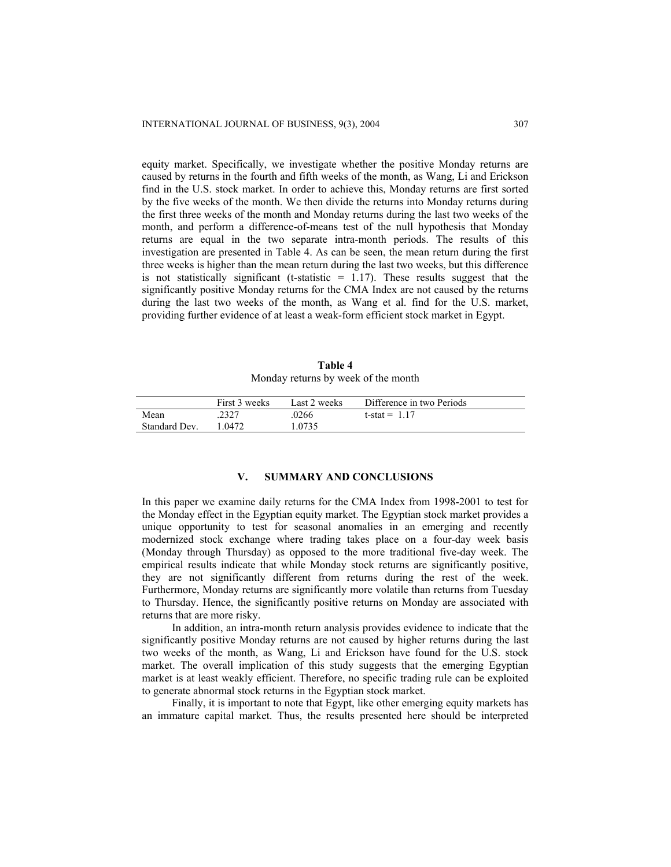equity market. Specifically, we investigate whether the positive Monday returns are caused by returns in the fourth and fifth weeks of the month, as Wang, Li and Erickson find in the U.S. stock market. In order to achieve this, Monday returns are first sorted by the five weeks of the month. We then divide the returns into Monday returns during the first three weeks of the month and Monday returns during the last two weeks of the month, and perform a difference-of-means test of the null hypothesis that Monday returns are equal in the two separate intra-month periods. The results of this investigation are presented in Table 4. As can be seen, the mean return during the first three weeks is higher than the mean return during the last two weeks, but this difference is not statistically significant (t-statistic  $= 1.17$ ). These results suggest that the significantly positive Monday returns for the CMA Index are not caused by the returns during the last two weeks of the month, as Wang et al. find for the U.S. market, providing further evidence of at least a weak-form efficient stock market in Egypt.

| Table 4                             |  |  |  |  |
|-------------------------------------|--|--|--|--|
| Monday returns by week of the month |  |  |  |  |

|               | First 3 weeks | Last 2 weeks | Difference in two Periods |
|---------------|---------------|--------------|---------------------------|
| Mean          | 2327          | .0266        | t-stat = $1.17$           |
| Standard Dev. | 1 0472.       | 1.0735       |                           |

# **V. SUMMARY AND CONCLUSIONS**

In this paper we examine daily returns for the CMA Index from 1998-2001 to test for the Monday effect in the Egyptian equity market. The Egyptian stock market provides a unique opportunity to test for seasonal anomalies in an emerging and recently modernized stock exchange where trading takes place on a four-day week basis (Monday through Thursday) as opposed to the more traditional five-day week. The empirical results indicate that while Monday stock returns are significantly positive, they are not significantly different from returns during the rest of the week. Furthermore, Monday returns are significantly more volatile than returns from Tuesday to Thursday. Hence, the significantly positive returns on Monday are associated with returns that are more risky.

In addition, an intra-month return analysis provides evidence to indicate that the significantly positive Monday returns are not caused by higher returns during the last two weeks of the month, as Wang, Li and Erickson have found for the U.S. stock market. The overall implication of this study suggests that the emerging Egyptian market is at least weakly efficient. Therefore, no specific trading rule can be exploited to generate abnormal stock returns in the Egyptian stock market.

Finally, it is important to note that Egypt, like other emerging equity markets has an immature capital market. Thus, the results presented here should be interpreted